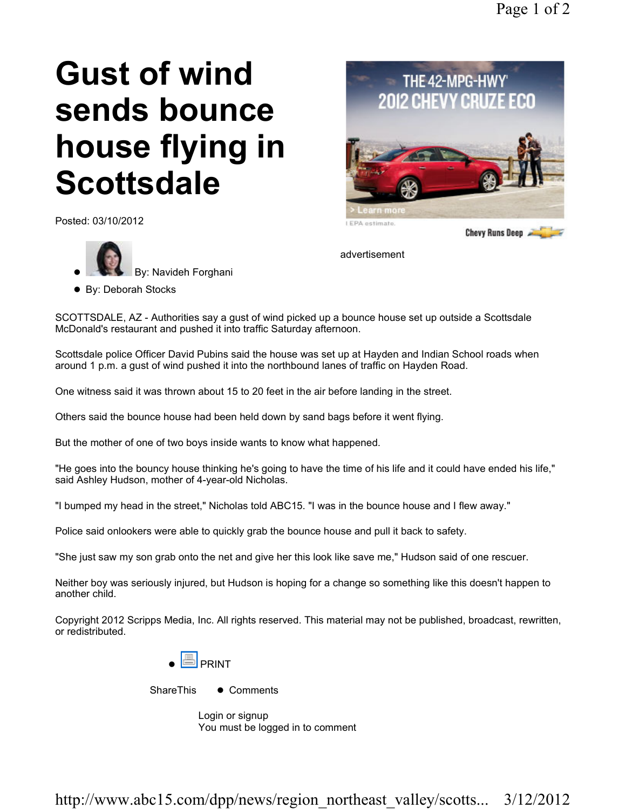# Gust of wind sends bounce house flying in **Scottsdale**

Posted: 03/10/2012





advertisement

SCOTTSDALE, AZ - Authorities say a gust of wind picked up a bounce house set up outside a Scottsdale McDonald's restaurant and pushed it into traffic Saturday afternoon.

Scottsdale police Officer David Pubins said the house was set up at Hayden and Indian School roads when around 1 p.m. a gust of wind pushed it into the northbound lanes of traffic on Hayden Road.

One witness said it was thrown about 15 to 20 feet in the air before landing in the street.

Others said the bounce house had been held down by sand bags before it went flying.

But the mother of one of two boys inside wants to know what happened.

"He goes into the bouncy house thinking he's going to have the time of his life and it could have ended his life," said Ashley Hudson, mother of 4-year-old Nicholas.

"I bumped my head in the street," Nicholas told ABC15. "I was in the bounce house and I flew away."

Police said onlookers were able to quickly grab the bounce house and pull it back to safety.

"She just saw my son grab onto the net and give her this look like save me," Hudson said of one rescuer.

Neither boy was seriously injured, but Hudson is hoping for a change so something like this doesn't happen to another child.

Copyright 2012 Scripps Media, Inc. All rights reserved. This material may not be published, broadcast, rewritten, or redistributed.



ShareThis • Comments

Login or signup You must be logged in to comment